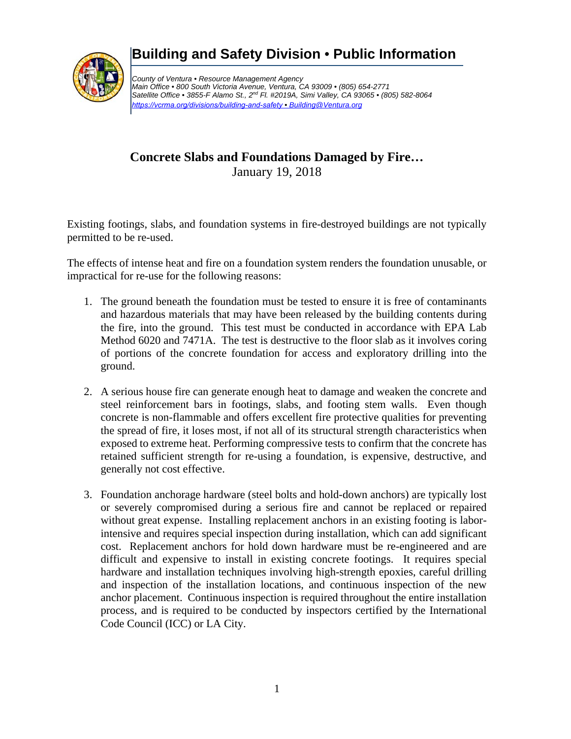

## **Building and Safety Division** *•* **Public Information**

*County of Ventura • Resource Management Agency Main Office • 800 South Victoria Avenue, Ventura, CA 93009 • (805) 654-2771 Satellite Office • 3855-F Alamo St., 2nd Fl. #2019A, Simi Valley, CA 93065 • (805) 582-8064 <https://vcrma.org/divisions/building-and-safety> • Building@Ventura.org*

## **Concrete Slabs and Foundations Damaged by Fire…**  January 19, 2018

Existing footings, slabs, and foundation systems in fire-destroyed buildings are not typically permitted to be re-used.

The effects of intense heat and fire on a foundation system renders the foundation unusable, or impractical for re-use for the following reasons:

- 1. The ground beneath the foundation must be tested to ensure it is free of contaminants and hazardous materials that may have been released by the building contents during the fire, into the ground. This test must be conducted in accordance with EPA Lab Method 6020 and 7471A. The test is destructive to the floor slab as it involves coring of portions of the concrete foundation for access and exploratory drilling into the ground.
- 2. A serious house fire can generate enough heat to damage and weaken the concrete and steel reinforcement bars in footings, slabs, and footing stem walls. Even though concrete is non-flammable and offers excellent fire protective qualities for preventing the spread of fire, it loses most, if not all of its structural strength characteristics when exposed to extreme heat. Performing compressive tests to confirm that the concrete has retained sufficient strength for re-using a foundation, is expensive, destructive, and generally not cost effective.
- 3. Foundation anchorage hardware (steel bolts and hold-down anchors) are typically lost or severely compromised during a serious fire and cannot be replaced or repaired without great expense. Installing replacement anchors in an existing footing is laborintensive and requires special inspection during installation, which can add significant cost. Replacement anchors for hold down hardware must be re-engineered and are difficult and expensive to install in existing concrete footings. It requires special hardware and installation techniques involving high-strength epoxies, careful drilling and inspection of the installation locations, and continuous inspection of the new anchor placement. Continuous inspection is required throughout the entire installation process, and is required to be conducted by inspectors certified by the International Code Council (ICC) or LA City.